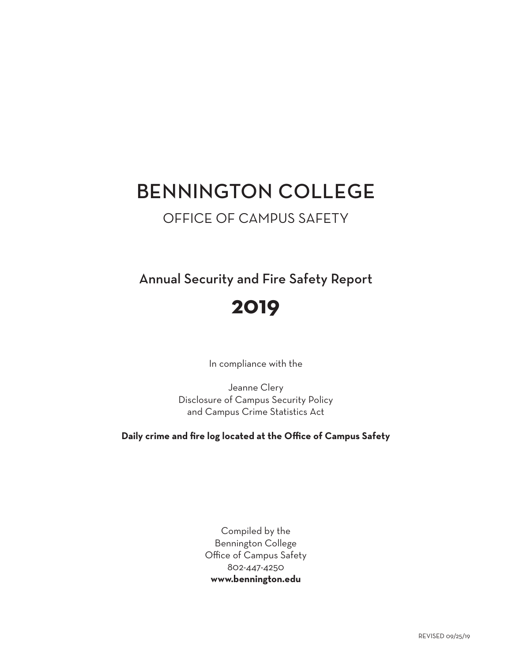# BENNINGTON COLLEGE

## OFFICE OF CAMPUS SAFETY

Annual Security and Fire Safety Report

# **2019**

In compliance with the

Jeanne Clery Disclosure of Campus Security Policy and Campus Crime Statistics Act

**Daily crime and fire log located at the Office of Campus Safety**

Compiled by the Bennington College Office of Campus Safety 802-447-4250 **[www.bennington.edu](http://www.bennington.edu)**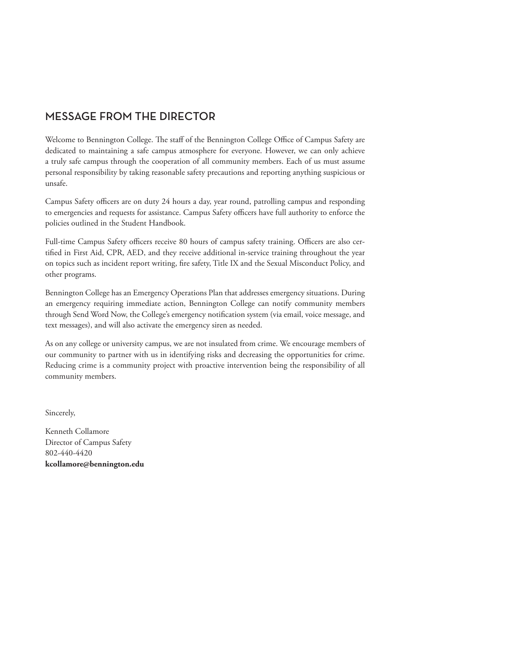## MESSAGE FROM THE DIRECTOR

Welcome to Bennington College. The staff of the Bennington College Office of Campus Safety are dedicated to maintaining a safe campus atmosphere for everyone. However, we can only achieve a truly safe campus through the cooperation of all community members. Each of us must assume personal responsibility by taking reasonable safety precautions and reporting anything suspicious or unsafe.

Campus Safety officers are on duty 24 hours a day, year round, patrolling campus and responding to emergencies and requests for assistance. Campus Safety officers have full authority to enforce the policies outlined in the Student Handbook.

Full-time Campus Safety officers receive 80 hours of campus safety training. Officers are also certified in First Aid, CPR, AED, and they receive additional in-service training throughout the year on topics such as incident report writing, fire safety, Title IX and the Sexual Misconduct Policy, and other programs.

Bennington College has an Emergency Operations Plan that addresses emergency situations. During an emergency requiring immediate action, Bennington College can notify community members through Send Word Now, the College's emergency notification system (via email, voice message, and text messages), and will also activate the emergency siren as needed.

As on any college or university campus, we are not insulated from crime. We encourage members of our community to partner with us in identifying risks and decreasing the opportunities for crime. Reducing crime is a community project with proactive intervention being the responsibility of all community members.

Sincerely,

Kenneth Collamore Director of Campus Safety 802-440-4420 **[kcollamore@bennington.edu](mailto:kcollamore@bennington.edu)**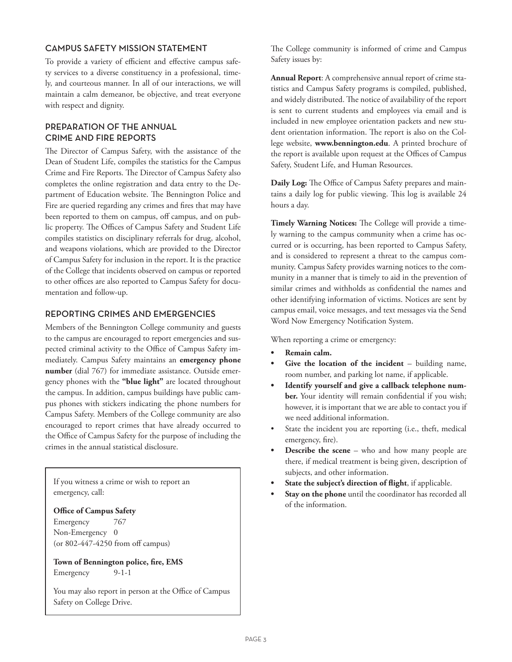## CAMPUS SAFETY MISSION STATEMENT

To provide a variety of efficient and effective campus safety services to a diverse constituency in a professional, timely, and courteous manner. In all of our interactions, we will maintain a calm demeanor, be objective, and treat everyone with respect and dignity.

## PREPARATION OF THE ANNUAL CRIME AND FIRE REPORTS

The Director of Campus Safety, with the assistance of the Dean of Student Life, compiles the statistics for the Campus Crime and Fire Reports. The Director of Campus Safety also completes the online registration and data entry to the Department of Education website. The Bennington Police and Fire are queried regarding any crimes and fires that may have been reported to them on campus, off campus, and on public property. The Offices of Campus Safety and Student Life compiles statistics on disciplinary referrals for drug, alcohol, and weapons violations, which are provided to the Director of Campus Safety for inclusion in the report. It is the practice of the College that incidents observed on campus or reported to other offices are also reported to Campus Safety for documentation and follow-up.

## REPORTING CRIMES AND EMERGENCIES

Members of the Bennington College community and guests to the campus are encouraged to report emergencies and suspected criminal activity to the Office of Campus Safety immediately. Campus Safety maintains an **emergency phone number** (dial 767) for immediate assistance. Outside emergency phones with the **"blue light"** are located throughout the campus. In addition, campus buildings have public campus phones with stickers indicating the phone numbers for Campus Safety. Members of the College community are also encouraged to report crimes that have already occurred to the Office of Campus Safety for the purpose of including the crimes in the annual statistical disclosure.

If you witness a crime or wish to report an emergency, call:

#### **Office of Campus Safety**

Emergency 767 Non-Emergency 0 (or 802-447-4250 from off campus)

**Town of Bennington police, fire, EMS** Emergency 9-1-1

You may also report in person at the Office of Campus Safety on College Drive.

The College community is informed of crime and Campus Safety issues by:

**Annual Report**: A comprehensive annual report of crime statistics and Campus Safety programs is compiled, published, and widely distributed. The notice of availability of the report is sent to current students and employees via email and is included in new employee orientation packets and new student orientation information. The report is also on the College website, **[www.bennington.edu](http://www.bennington.edu)**. A printed brochure of the report is available upon request at the Offices of Campus Safety, Student Life, and Human Resources.

**Daily Log:** The Office of Campus Safety prepares and maintains a daily log for public viewing. This log is available 24 hours a day.

**Timely Warning Notices:** The College will provide a timely warning to the campus community when a crime has occurred or is occurring, has been reported to Campus Safety, and is considered to represent a threat to the campus community. Campus Safety provides warning notices to the community in a manner that is timely to aid in the prevention of similar crimes and withholds as confidential the names and other identifying information of victims. Notices are sent by campus email, voice messages, and text messages via the Send Word Now Emergency Notification System.

When reporting a crime or emergency:

- **• Remain calm.**
- Give the location of the incident building name, room number, and parking lot name, if applicable.
- **• Identify yourself and give a callback telephone number.** Your identity will remain confidential if you wish; however, it is important that we are able to contact you if we need additional information.
- State the incident you are reporting (i.e., theft, medical emergency, fire).
- **Describe the scene** who and how many people are there, if medical treatment is being given, description of subjects, and other information.
- **• State the subject's direction of flight**, if applicable.
- **• Stay on the phone** until the coordinator has recorded all of the information.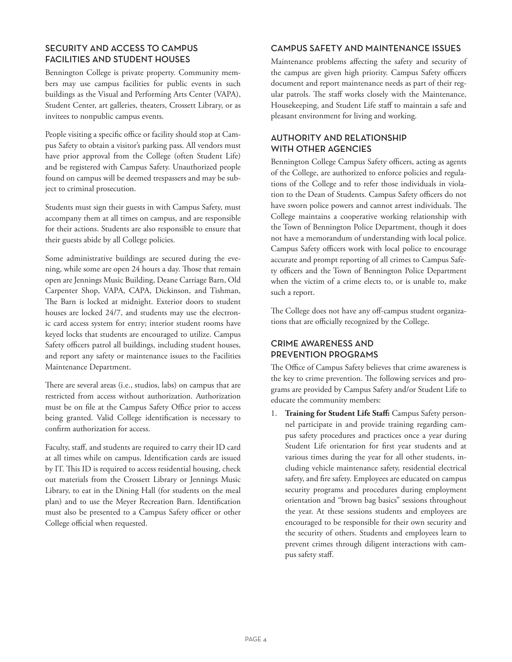## SECURITY AND ACCESS TO CAMPUS FACILITIES AND STUDENT HOUSES

Bennington College is private property. Community members may use campus facilities for public events in such buildings as the Visual and Performing Arts Center (VAPA), Student Center, art galleries, theaters, Crossett Library, or as invitees to nonpublic campus events.

People visiting a specific office or facility should stop at Campus Safety to obtain a visitor's parking pass. All vendors must have prior approval from the College (often Student Life) and be registered with Campus Safety. Unauthorized people found on campus will be deemed trespassers and may be subject to criminal prosecution.

Students must sign their guests in with Campus Safety, must accompany them at all times on campus, and are responsible for their actions. Students are also responsible to ensure that their guests abide by all College policies.

Some administrative buildings are secured during the evening, while some are open 24 hours a day. Those that remain open are Jennings Music Building, Deane Carriage Barn, Old Carpenter Shop, VAPA, CAPA, Dickinson, and Tishman, The Barn is locked at midnight. Exterior doors to student houses are locked 24/7, and students may use the electronic card access system for entry; interior student rooms have keyed locks that students are encouraged to utilize. Campus Safety officers patrol all buildings, including student houses, and report any safety or maintenance issues to the Facilities Maintenance Department.

There are several areas (i.e., studios, labs) on campus that are restricted from access without authorization. Authorization must be on file at the Campus Safety Office prior to access being granted. Valid College identification is necessary to confirm authorization for access.

Faculty, staff, and students are required to carry their ID card at all times while on campus. Identification cards are issued by IT. This ID is required to access residential housing, check out materials from the Crossett Library or Jennings Music Library, to eat in the Dining Hall (for students on the meal plan) and to use the Meyer Recreation Barn. Identification must also be presented to a Campus Safety officer or other College official when requested.

## CAMPUS SAFETY AND MAINTENANCE ISSUES

Maintenance problems affecting the safety and security of the campus are given high priority. Campus Safety officers document and report maintenance needs as part of their regular patrols. The staff works closely with the Maintenance, Housekeeping, and Student Life staff to maintain a safe and pleasant environment for living and working.

## AUTHORITY AND RELATIONSHIP WITH OTHER AGENCIES

Bennington College Campus Safety officers, acting as agents of the College, are authorized to enforce policies and regulations of the College and to refer those individuals in violation to the Dean of Students. Campus Safety officers do not have sworn police powers and cannot arrest individuals. The College maintains a cooperative working relationship with the Town of Bennington Police Department, though it does not have a memorandum of understanding with local police. Campus Safety officers work with local police to encourage accurate and prompt reporting of all crimes to Campus Safety officers and the Town of Bennington Police Department when the victim of a crime elects to, or is unable to, make such a report.

The College does not have any off-campus student organizations that are officially recognized by the College.

## CRIME AWARENESS AND PREVENTION PROGRAMS

The Office of Campus Safety believes that crime awareness is the key to crime prevention. The following services and programs are provided by Campus Safety and/or Student Life to educate the community members:

1. **Training for Student Life Staff:** Campus Safety personnel participate in and provide training regarding campus safety procedures and practices once a year during Student Life orientation for first year students and at various times during the year for all other students, including vehicle maintenance safety, residential electrical safety, and fire safety. Employees are educated on campus security programs and procedures during employment orientation and "brown bag basics" sessions throughout the year. At these sessions students and employees are encouraged to be responsible for their own security and the security of others. Students and employees learn to prevent crimes through diligent interactions with campus safety staff.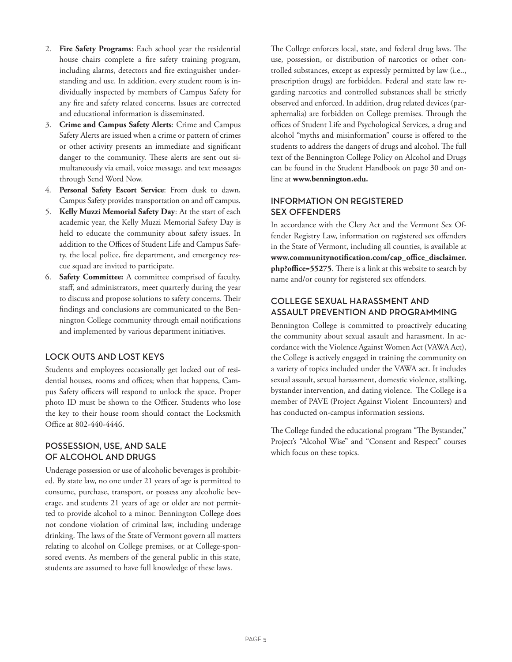- 2. **Fire Safety Programs**: Each school year the residential house chairs complete a fire safety training program, including alarms, detectors and fire extinguisher understanding and use. In addition, every student room is individually inspected by members of Campus Safety for any fire and safety related concerns. Issues are corrected and educational information is disseminated.
- 3. **Crime and Campus Safety Alerts**: Crime and Campus Safety Alerts are issued when a crime or pattern of crimes or other activity presents an immediate and significant danger to the community. These alerts are sent out simultaneously via email, voice message, and text messages through Send Word Now.
- 4. **Personal Safety Escort Service**: From dusk to dawn, Campus Safety provides transportation on and off campus.
- 5. **Kelly Muzzi Memorial Safety Day**: At the start of each academic year, the Kelly Muzzi Memorial Safety Day is held to educate the community about safety issues. In addition to the Offices of Student Life and Campus Safety, the local police, fire department, and emergency rescue squad are invited to participate.
- 6. **Safety Committee:** A committee comprised of faculty, staff, and administrators, meet quarterly during the year to discuss and propose solutions to safety concerns. Their findings and conclusions are communicated to the Bennington College community through email notifications and implemented by various department initiatives.

## LOCK OUTS AND LOST KEYS

Students and employees occasionally get locked out of residential houses, rooms and offices; when that happens, Campus Safety officers will respond to unlock the space. Proper photo ID must be shown to the Officer. Students who lose the key to their house room should contact the Locksmith Office at 802-440-4446.

## POSSESSION, USE, AND SALE OF ALCOHOL AND DRUGS

Underage possession or use of alcoholic beverages is prohibited. By state law, no one under 21 years of age is permitted to consume, purchase, transport, or possess any alcoholic beverage, and students 21 years of age or older are not permitted to provide alcohol to a minor. Bennington College does not condone violation of criminal law, including underage drinking. The laws of the State of Vermont govern all matters relating to alcohol on College premises, or at College-sponsored events. As members of the general public in this state, students are assumed to have full knowledge of these laws.

The College enforces local, state, and federal drug laws. The use, possession, or distribution of narcotics or other controlled substances, except as expressly permitted by law (i.e.., prescription drugs) are forbidden. Federal and state law regarding narcotics and controlled substances shall be strictly observed and enforced. In addition, drug related devices (paraphernalia) are forbidden on College premises. Through the offices of Student Life and Psychological Services, a drug and alcohol "myths and misinformation" course is offered to the students to address the dangers of drugs and alcohol. The full text of the Bennington College Policy on Alcohol and Drugs can be found in the Student Handbook on page 30 and online at **www.bennington.edu.**

## INFORMATION ON REGISTERED SEX OFFENDERS

In accordance with the Clery Act and the Vermont Sex Offender Registry Law, information on registered sex offenders in the State of Vermont, including all counties, is available at **www.communitynotification.com/cap\_office\_disclaimer. php?office=55275**. There is a link at this website to search by name and/or county for registered sex offenders.

## COLLEGE SEXUAL HARASSMENT AND ASSAULT PREVENTION AND PROGRAMMING

Bennington College is committed to proactively educating the community about sexual assault and harassment. In accordance with the Violence Against Women Act (VAWA Act), the College is actively engaged in training the community on a variety of topics included under the VAWA act. It includes sexual assault, sexual harassment, domestic violence, stalking, bystander intervention, and dating violence. The College is a member of PAVE (Project Against Violent Encounters) and has conducted on-campus information sessions.

The College funded the educational program "The Bystander," Project's "Alcohol Wise" and "Consent and Respect" courses which focus on these topics.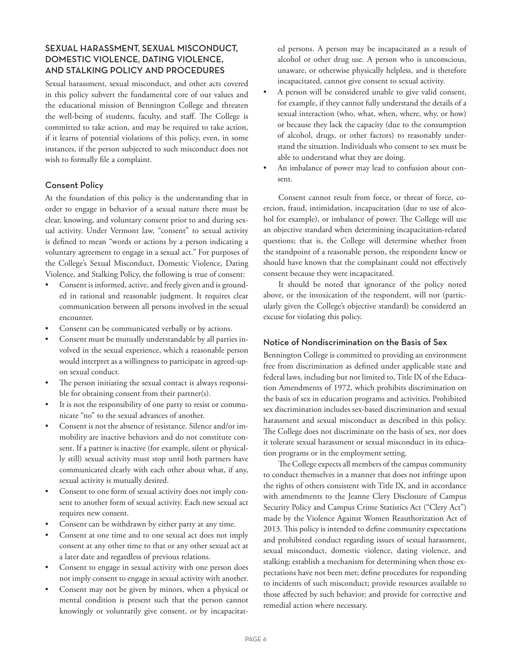## SEXUAL HARASSMENT, SEXUAL MISCONDUCT, DOMESTIC VIOLENCE, DATING VIOLENCE, AND STALKING POLICY AND PROCEDURES

Sexual harassment, sexual misconduct, and other acts covered in this policy subvert the fundamental core of our values and the educational mission of Bennington College and threaten the well-being of students, faculty, and staff. The College is committed to take action, and may be required to take action, if it learns of potential violations of this policy, even, in some instances, if the person subjected to such misconduct does not wish to formally file a complaint.

#### Consent Policy

At the foundation of this policy is the understanding that in order to engage in behavior of a sexual nature there must be clear, knowing, and voluntary consent prior to and during sexual activity. Under Vermont law, "consent" to sexual activity is defined to mean "words or actions by a person indicating a voluntary agreement to engage in a sexual act." For purposes of the College's Sexual Misconduct, Domestic Violence, Dating Violence, and Stalking Policy, the following is true of consent:

- Consent is informed, active, and freely given and is grounded in rational and reasonable judgment. It requires clear communication between all persons involved in the sexual encounter.
- Consent can be communicated verbally or by actions.
- Consent must be mutually understandable by all parties involved in the sexual experience, which a reasonable person would interpret as a willingness to participate in agreed-upon sexual conduct.
- The person initiating the sexual contact is always responsible for obtaining consent from their partner(s).
- It is not the responsibility of one party to resist or communicate "no" to the sexual advances of another.
- Consent is not the absence of resistance. Silence and/or immobility are inactive behaviors and do not constitute consent. If a partner is inactive (for example, silent or physically still) sexual activity must stop until both partners have communicated clearly with each other about what, if any, sexual activity is mutually desired.
- Consent to one form of sexual activity does not imply consent to another form of sexual activity. Each new sexual act requires new consent.
- Consent can be withdrawn by either party at any time.
- Consent at one time and to one sexual act does not imply consent at any other time to that or any other sexual act at a later date and regardless of previous relations.
- Consent to engage in sexual activity with one person does not imply consent to engage in sexual activity with another.
- Consent may not be given by minors, when a physical or mental condition is present such that the person cannot knowingly or voluntarily give consent, or by incapacitat-

ed persons. A person may be incapacitated as a result of alcohol or other drug use. A person who is unconscious, unaware, or otherwise physically helpless, and is therefore incapacitated, cannot give consent to sexual activity.

- A person will be considered unable to give valid consent, for example, if they cannot fully understand the details of a sexual interaction (who, what, when, where, why, or how) or because they lack the capacity (due to the consumption of alcohol, drugs, or other factors) to reasonably understand the situation. Individuals who consent to sex must be able to understand what they are doing.
- An imbalance of power may lead to confusion about consent.

Consent cannot result from force, or threat of force, coercion, fraud, intimidation, incapacitation (due to use of alcohol for example), or imbalance of power. The College will use an objective standard when determining incapacitation-related questions; that is, the College will determine whether from the standpoint of a reasonable person, the respondent knew or should have known that the complainant could not effectively consent because they were incapacitated.

It should be noted that ignorance of the policy noted above, or the intoxication of the respondent, will not (particularly given the College's objective standard) be considered an excuse for violating this policy.

#### Notice of Nondiscrimination on the Basis of Sex

Bennington College is committed to providing an environment free from discrimination as defined under applicable state and federal laws, including but not limited to, Title IX of the Education Amendments of 1972, which prohibits discrimination on the basis of sex in education programs and activities. Prohibited sex discrimination includes sex-based discrimination and sexual harassment and sexual misconduct as described in this policy. The College does not discriminate on the basis of sex, nor does it tolerate sexual harassment or sexual misconduct in its education programs or in the employment setting.

The College expects all members of the campus community to conduct themselves in a manner that does not infringe upon the rights of others consistent with Title IX, and in accordance with amendments to the Jeanne Clery Disclosure of Campus Security Policy and Campus Crime Statistics Act ("Clery Act") made by the Violence Against Women Reauthorization Act of 2013. This policy is intended to define community expectations and prohibited conduct regarding issues of sexual harassment, sexual misconduct, domestic violence, dating violence, and stalking; establish a mechanism for determining when those expectations have not been met; define procedures for responding to incidents of such misconduct; provide resources available to those affected by such behavior; and provide for corrective and remedial action where necessary.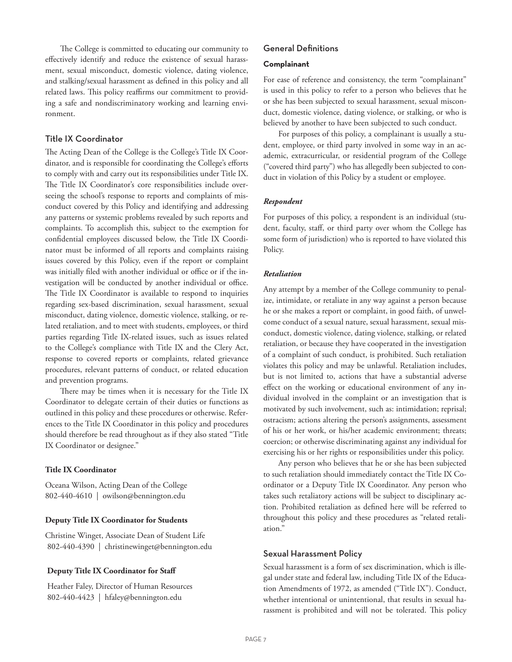The College is committed to educating our community to effectively identify and reduce the existence of sexual harassment, sexual misconduct, domestic violence, dating violence, and stalking/sexual harassment as defined in this policy and all related laws. This policy reaffirms our commitment to providing a safe and nondiscriminatory working and learning environment.

#### Title IX Coordinator

The Acting Dean of the College is the College's Title IX Coordinator, and is responsible for coordinating the College's efforts to comply with and carry out its responsibilities under Title IX. The Title IX Coordinator's core responsibilities include overseeing the school's response to reports and complaints of misconduct covered by this Policy and identifying and addressing any patterns or systemic problems revealed by such reports and complaints. To accomplish this, subject to the exemption for confidential employees discussed below, the Title IX Coordinator must be informed of all reports and complaints raising issues covered by this Policy, even if the report or complaint was initially filed with another individual or office or if the investigation will be conducted by another individual or office. The Title IX Coordinator is available to respond to inquiries regarding sex-based discrimination, sexual harassment, sexual misconduct, dating violence, domestic violence, stalking, or related retaliation, and to meet with students, employees, or third parties regarding Title IX-related issues, such as issues related to the College's compliance with Title IX and the Clery Act, response to covered reports or complaints, related grievance procedures, relevant patterns of conduct, or related education and prevention programs.

There may be times when it is necessary for the Title IX Coordinator to delegate certain of their duties or functions as outlined in this policy and these procedures or otherwise. References to the Title IX Coordinator in this policy and procedures should therefore be read throughout as if they also stated "Title IX Coordinator or designee."

#### **Title IX Coordinator**

Oceana Wilson, Acting Dean of the College 802-440-4610 | owilson@bennington.edu

#### **Deputy Title IX Coordinator for Students**

Christine Winget, Associate Dean of Student Life 802-440-4390 | christinewinget@bennington.edu

#### **Deputy Title IX Coordinator for Staff**

 Heather Faley, Director of Human Resources 802-440-4423 | hfaley@bennington.edu

## General Definitions

#### **Complainant**

For ease of reference and consistency, the term "complainant" is used in this policy to refer to a person who believes that he or she has been subjected to sexual harassment, sexual misconduct, domestic violence, dating violence, or stalking, or who is believed by another to have been subjected to such conduct.

For purposes of this policy, a complainant is usually a student, employee, or third party involved in some way in an academic, extracurricular, or residential program of the College ("covered third party") who has allegedly been subjected to conduct in violation of this Policy by a student or employee.

#### *Respondent*

For purposes of this policy, a respondent is an individual (student, faculty, staff, or third party over whom the College has some form of jurisdiction) who is reported to have violated this Policy.

#### *Retaliation*

Any attempt by a member of the College community to penalize, intimidate, or retaliate in any way against a person because he or she makes a report or complaint, in good faith, of unwelcome conduct of a sexual nature, sexual harassment, sexual misconduct, domestic violence, dating violence, stalking, or related retaliation, or because they have cooperated in the investigation of a complaint of such conduct, is prohibited. Such retaliation violates this policy and may be unlawful. Retaliation includes, but is not limited to, actions that have a substantial adverse effect on the working or educational environment of any individual involved in the complaint or an investigation that is motivated by such involvement, such as: intimidation; reprisal; ostracism; actions altering the person's assignments, assessment of his or her work, or his/her academic environment; threats; coercion; or otherwise discriminating against any individual for exercising his or her rights or responsibilities under this policy.

Any person who believes that he or she has been subjected to such retaliation should immediately contact the Title IX Coordinator or a Deputy Title IX Coordinator. Any person who takes such retaliatory actions will be subject to disciplinary action. Prohibited retaliation as defined here will be referred to throughout this policy and these procedures as "related retaliation."

#### Sexual Harassment Policy

Sexual harassment is a form of sex discrimination, which is illegal under state and federal law, including Title IX of the Education Amendments of 1972, as amended ("Title IX"). Conduct, whether intentional or unintentional, that results in sexual harassment is prohibited and will not be tolerated. This policy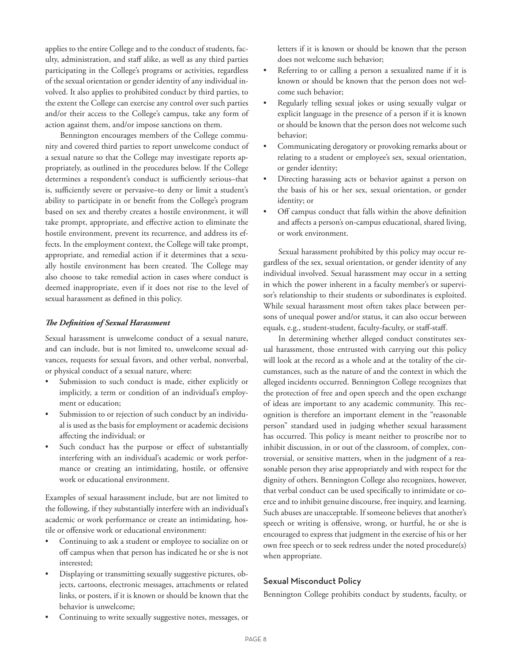applies to the entire College and to the conduct of students, faculty, administration, and staff alike, as well as any third parties participating in the College's programs or activities, regardless of the sexual orientation or gender identity of any individual involved. It also applies to prohibited conduct by third parties, to the extent the College can exercise any control over such parties and/or their access to the College's campus, take any form of action against them, and/or impose sanctions on them.

Bennington encourages members of the College community and covered third parties to report unwelcome conduct of a sexual nature so that the College may investigate reports appropriately, as outlined in the procedures below. If the College determines a respondent's conduct is sufficiently serious–that is, sufficiently severe or pervasive–to deny or limit a student's ability to participate in or benefit from the College's program based on sex and thereby creates a hostile environment, it will take prompt, appropriate, and effective action to eliminate the hostile environment, prevent its recurrence, and address its effects. In the employment context, the College will take prompt, appropriate, and remedial action if it determines that a sexually hostile environment has been created. The College may also choose to take remedial action in cases where conduct is deemed inappropriate, even if it does not rise to the level of sexual harassment as defined in this policy.

#### *The Definition of Sexual Harassment*

Sexual harassment is unwelcome conduct of a sexual nature, and can include, but is not limited to, unwelcome sexual advances, requests for sexual favors, and other verbal, nonverbal, or physical conduct of a sexual nature, where:

- Submission to such conduct is made, either explicitly or implicitly, a term or condition of an individual's employment or education;
- Submission to or rejection of such conduct by an individual is used as the basis for employment or academic decisions affecting the individual; or
- Such conduct has the purpose or effect of substantially interfering with an individual's academic or work performance or creating an intimidating, hostile, or offensive work or educational environment.

Examples of sexual harassment include, but are not limited to the following, if they substantially interfere with an individual's academic or work performance or create an intimidating, hostile or offensive work or educational environment:

- Continuing to ask a student or employee to socialize on or off campus when that person has indicated he or she is not interested;
- Displaying or transmitting sexually suggestive pictures, objects, cartoons, electronic messages, attachments or related links, or posters, if it is known or should be known that the behavior is unwelcome;
- Continuing to write sexually suggestive notes, messages, or

letters if it is known or should be known that the person does not welcome such behavior;

- Referring to or calling a person a sexualized name if it is known or should be known that the person does not welcome such behavior;
- Regularly telling sexual jokes or using sexually vulgar or explicit language in the presence of a person if it is known or should be known that the person does not welcome such behavior;
- Communicating derogatory or provoking remarks about or relating to a student or employee's sex, sexual orientation, or gender identity;
- Directing harassing acts or behavior against a person on the basis of his or her sex, sexual orientation, or gender identity; or
- Off campus conduct that falls within the above definition and affects a person's on-campus educational, shared living, or work environment.

Sexual harassment prohibited by this policy may occur regardless of the sex, sexual orientation, or gender identity of any individual involved. Sexual harassment may occur in a setting in which the power inherent in a faculty member's or supervisor's relationship to their students or subordinates is exploited. While sexual harassment most often takes place between persons of unequal power and/or status, it can also occur between equals, e.g., student-student, faculty-faculty, or staff-staff.

In determining whether alleged conduct constitutes sexual harassment, those entrusted with carrying out this policy will look at the record as a whole and at the totality of the circumstances, such as the nature of and the context in which the alleged incidents occurred. Bennington College recognizes that the protection of free and open speech and the open exchange of ideas are important to any academic community. This recognition is therefore an important element in the "reasonable person" standard used in judging whether sexual harassment has occurred. This policy is meant neither to proscribe nor to inhibit discussion, in or out of the classroom, of complex, controversial, or sensitive matters, when in the judgment of a reasonable person they arise appropriately and with respect for the dignity of others. Bennington College also recognizes, however, that verbal conduct can be used specifically to intimidate or coerce and to inhibit genuine discourse, free inquiry, and learning. Such abuses are unacceptable. If someone believes that another's speech or writing is offensive, wrong, or hurtful, he or she is encouraged to express that judgment in the exercise of his or her own free speech or to seek redress under the noted procedure(s) when appropriate.

#### Sexual Misconduct Policy

Bennington College prohibits conduct by students, faculty, or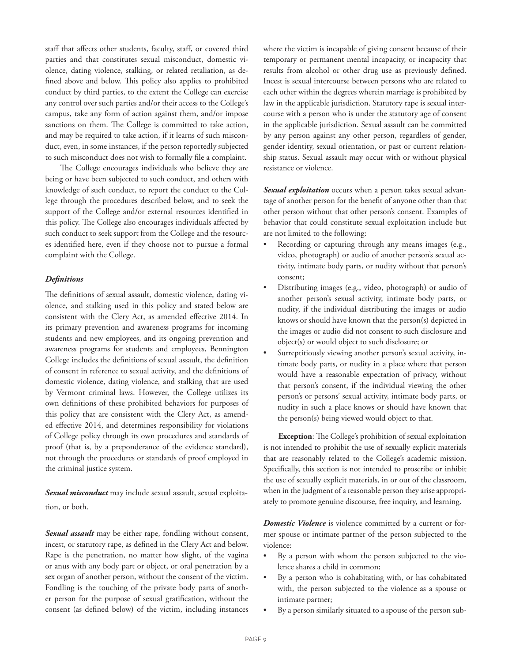staff that affects other students, faculty, staff, or covered third parties and that constitutes sexual misconduct, domestic violence, dating violence, stalking, or related retaliation, as defined above and below. This policy also applies to prohibited conduct by third parties, to the extent the College can exercise any control over such parties and/or their access to the College's campus, take any form of action against them, and/or impose sanctions on them. The College is committed to take action, and may be required to take action, if it learns of such misconduct, even, in some instances, if the person reportedly subjected to such misconduct does not wish to formally file a complaint.

The College encourages individuals who believe they are being or have been subjected to such conduct, and others with knowledge of such conduct, to report the conduct to the College through the procedures described below, and to seek the support of the College and/or external resources identified in this policy. The College also encourages individuals affected by such conduct to seek support from the College and the resources identified here, even if they choose not to pursue a formal complaint with the College.

#### *Definitions*

The definitions of sexual assault, domestic violence, dating violence, and stalking used in this policy and stated below are consistent with the Clery Act, as amended effective 2014. In its primary prevention and awareness programs for incoming students and new employees, and its ongoing prevention and awareness programs for students and employees, Bennington College includes the definitions of sexual assault, the definition of consent in reference to sexual activity, and the definitions of domestic violence, dating violence, and stalking that are used by Vermont criminal laws. However, the College utilizes its own definitions of these prohibited behaviors for purposes of this policy that are consistent with the Clery Act, as amended effective 2014, and determines responsibility for violations of College policy through its own procedures and standards of proof (that is, by a preponderance of the evidence standard), not through the procedures or standards of proof employed in the criminal justice system.

*Sexual misconduct* may include sexual assault, sexual exploitation, or both.

*Sexual assault* may be either rape, fondling without consent, incest, or statutory rape, as defined in the Clery Act and below. Rape is the penetration, no matter how slight, of the vagina or anus with any body part or object, or oral penetration by a sex organ of another person, without the consent of the victim. Fondling is the touching of the private body parts of another person for the purpose of sexual gratification, without the consent (as defined below) of the victim, including instances where the victim is incapable of giving consent because of their temporary or permanent mental incapacity, or incapacity that results from alcohol or other drug use as previously defined. Incest is sexual intercourse between persons who are related to each other within the degrees wherein marriage is prohibited by law in the applicable jurisdiction. Statutory rape is sexual intercourse with a person who is under the statutory age of consent in the applicable jurisdiction. Sexual assault can be committed by any person against any other person, regardless of gender, gender identity, sexual orientation, or past or current relationship status. Sexual assault may occur with or without physical resistance or violence.

*Sexual exploitation* occurs when a person takes sexual advantage of another person for the benefit of anyone other than that other person without that other person's consent. Examples of behavior that could constitute sexual exploitation include but are not limited to the following:

- Recording or capturing through any means images (e.g., video, photograph) or audio of another person's sexual activity, intimate body parts, or nudity without that person's consent;
- Distributing images (e.g., video, photograph) or audio of another person's sexual activity, intimate body parts, or nudity, if the individual distributing the images or audio knows or should have known that the person(s) depicted in the images or audio did not consent to such disclosure and object(s) or would object to such disclosure; or
- Surreptitiously viewing another person's sexual activity, intimate body parts, or nudity in a place where that person would have a reasonable expectation of privacy, without that person's consent, if the individual viewing the other person's or persons' sexual activity, intimate body parts, or nudity in such a place knows or should have known that the person(s) being viewed would object to that.

**Exception**: The College's prohibition of sexual exploitation is not intended to prohibit the use of sexually explicit materials that are reasonably related to the College's academic mission. Specifically, this section is not intended to proscribe or inhibit the use of sexually explicit materials, in or out of the classroom, when in the judgment of a reasonable person they arise appropriately to promote genuine discourse, free inquiry, and learning.

*Domestic Violence* is violence committed by a current or former spouse or intimate partner of the person subjected to the violence:

- By a person with whom the person subjected to the violence shares a child in common;
- By a person who is cohabitating with, or has cohabitated with, the person subjected to the violence as a spouse or intimate partner;
- By a person similarly situated to a spouse of the person sub-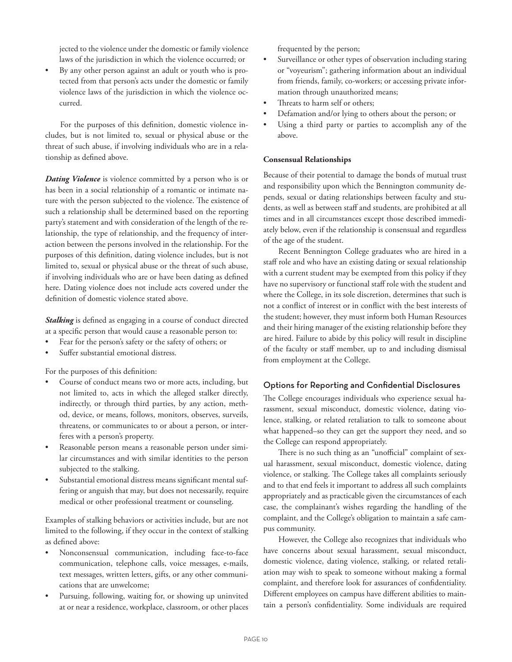jected to the violence under the domestic or family violence laws of the jurisdiction in which the violence occurred; or

• By any other person against an adult or youth who is protected from that person's acts under the domestic or family violence laws of the jurisdiction in which the violence occurred.

For the purposes of this definition, domestic violence includes, but is not limited to, sexual or physical abuse or the threat of such abuse, if involving individuals who are in a relationship as defined above.

*Dating Violence* is violence committed by a person who is or has been in a social relationship of a romantic or intimate nature with the person subjected to the violence. The existence of such a relationship shall be determined based on the reporting party's statement and with consideration of the length of the relationship, the type of relationship, and the frequency of interaction between the persons involved in the relationship. For the purposes of this definition, dating violence includes, but is not limited to, sexual or physical abuse or the threat of such abuse, if involving individuals who are or have been dating as defined here. Dating violence does not include acts covered under the definition of domestic violence stated above.

*Stalking* is defined as engaging in a course of conduct directed at a specific person that would cause a reasonable person to:

- Fear for the person's safety or the safety of others; or
- Suffer substantial emotional distress.

For the purposes of this definition:

- Course of conduct means two or more acts, including, but not limited to, acts in which the alleged stalker directly, indirectly, or through third parties, by any action, method, device, or means, follows, monitors, observes, surveils, threatens, or communicates to or about a person, or interferes with a person's property.
- Reasonable person means a reasonable person under similar circumstances and with similar identities to the person subjected to the stalking.
- Substantial emotional distress means significant mental suffering or anguish that may, but does not necessarily, require medical or other professional treatment or counseling.

Examples of stalking behaviors or activities include, but are not limited to the following, if they occur in the context of stalking as defined above:

- Nonconsensual communication, including face-to-face communication, telephone calls, voice messages, e-mails, text messages, written letters, gifts, or any other communications that are unwelcome;
- Pursuing, following, waiting for, or showing up uninvited at or near a residence, workplace, classroom, or other places

frequented by the person;

- Surveillance or other types of observation including staring or "voyeurism"; gathering information about an individual from friends, family, co-workers; or accessing private information through unauthorized means;
- Threats to harm self or others:
- Defamation and/or lying to others about the person; or
- Using a third party or parties to accomplish any of the above.

#### **Consensual Relationships**

Because of their potential to damage the bonds of mutual trust and responsibility upon which the Bennington community depends, sexual or dating relationships between faculty and students, as well as between staff and students, are prohibited at all times and in all circumstances except those described immediately below, even if the relationship is consensual and regardless of the age of the student.

Recent Bennington College graduates who are hired in a staff role and who have an existing dating or sexual relationship with a current student may be exempted from this policy if they have no supervisory or functional staff role with the student and where the College, in its sole discretion, determines that such is not a conflict of interest or in conflict with the best interests of the student; however, they must inform both Human Resources and their hiring manager of the existing relationship before they are hired. Failure to abide by this policy will result in discipline of the faculty or staff member, up to and including dismissal from employment at the College.

## Options for Reporting and Confidential Disclosures

The College encourages individuals who experience sexual harassment, sexual misconduct, domestic violence, dating violence, stalking, or related retaliation to talk to someone about what happened–so they can get the support they need, and so the College can respond appropriately.

There is no such thing as an "unofficial" complaint of sexual harassment, sexual misconduct, domestic violence, dating violence, or stalking. The College takes all complaints seriously and to that end feels it important to address all such complaints appropriately and as practicable given the circumstances of each case, the complainant's wishes regarding the handling of the complaint, and the College's obligation to maintain a safe campus community.

However, the College also recognizes that individuals who have concerns about sexual harassment, sexual misconduct, domestic violence, dating violence, stalking, or related retaliation may wish to speak to someone without making a formal complaint, and therefore look for assurances of confidentiality. Different employees on campus have different abilities to maintain a person's confidentiality. Some individuals are required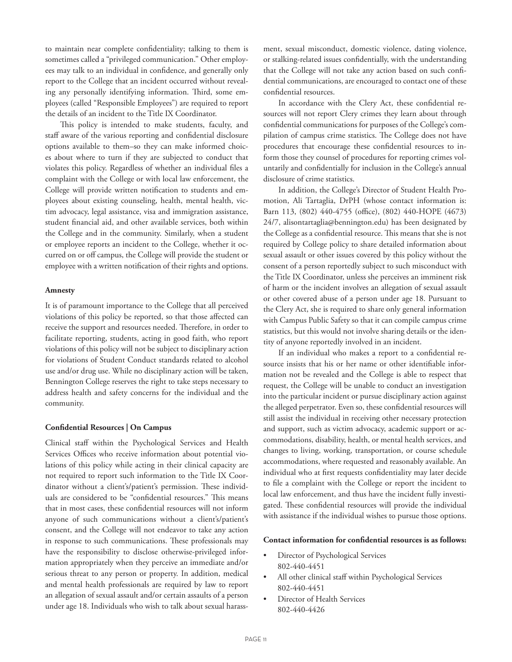to maintain near complete confidentiality; talking to them is sometimes called a "privileged communication." Other employees may talk to an individual in confidence, and generally only report to the College that an incident occurred without revealing any personally identifying information. Third, some employees (called "Responsible Employees") are required to report the details of an incident to the Title IX Coordinator.

This policy is intended to make students, faculty, and staff aware of the various reporting and confidential disclosure options available to them–so they can make informed choices about where to turn if they are subjected to conduct that violates this policy. Regardless of whether an individual files a complaint with the College or with local law enforcement, the College will provide written notification to students and employees about existing counseling, health, mental health, victim advocacy, legal assistance, visa and immigration assistance, student financial aid, and other available services, both within the College and in the community. Similarly, when a student or employee reports an incident to the College, whether it occurred on or off campus, the College will provide the student or employee with a written notification of their rights and options.

#### **Amnesty**

It is of paramount importance to the College that all perceived violations of this policy be reported, so that those affected can receive the support and resources needed. Therefore, in order to facilitate reporting, students, acting in good faith, who report violations of this policy will not be subject to disciplinary action for violations of Student Conduct standards related to alcohol use and/or drug use. While no disciplinary action will be taken, Bennington College reserves the right to take steps necessary to address health and safety concerns for the individual and the community.

#### **Confidential Resources | On Campus**

Clinical staff within the Psychological Services and Health Services Offices who receive information about potential violations of this policy while acting in their clinical capacity are not required to report such information to the Title IX Coordinator without a client's/patient's permission. These individuals are considered to be "confidential resources." This means that in most cases, these confidential resources will not inform anyone of such communications without a client's/patient's consent, and the College will not endeavor to take any action in response to such communications. These professionals may have the responsibility to disclose otherwise-privileged information appropriately when they perceive an immediate and/or serious threat to any person or property. In addition, medical and mental health professionals are required by law to report an allegation of sexual assault and/or certain assaults of a person under age 18. Individuals who wish to talk about sexual harassment, sexual misconduct, domestic violence, dating violence, or stalking-related issues confidentially, with the understanding that the College will not take any action based on such confidential communications, are encouraged to contact one of these confidential resources.

In accordance with the Clery Act, these confidential resources will not report Clery crimes they learn about through confidential communications for purposes of the College's compilation of campus crime statistics. The College does not have procedures that encourage these confidential resources to inform those they counsel of procedures for reporting crimes voluntarily and confidentially for inclusion in the College's annual disclosure of crime statistics.

In addition, the College's Director of Student Health Promotion, Ali Tartaglia, DrPH (whose contact information is: Barn 113, (802) 440-4755 (office), (802) 440-HOPE (4673) 24/7, alisontartaglia@bennington.edu) has been designated by the College as a confidential resource. This means that she is not required by College policy to share detailed information about sexual assault or other issues covered by this policy without the consent of a person reportedly subject to such misconduct with the Title IX Coordinator, unless she perceives an imminent risk of harm or the incident involves an allegation of sexual assault or other covered abuse of a person under age 18. Pursuant to the Clery Act, she is required to share only general information with Campus Public Safety so that it can compile campus crime statistics, but this would not involve sharing details or the identity of anyone reportedly involved in an incident.

If an individual who makes a report to a confidential resource insists that his or her name or other identifiable information not be revealed and the College is able to respect that request, the College will be unable to conduct an investigation into the particular incident or pursue disciplinary action against the alleged perpetrator. Even so, these confidential resources will still assist the individual in receiving other necessary protection and support, such as victim advocacy, academic support or accommodations, disability, health, or mental health services, and changes to living, working, transportation, or course schedule accommodations, where requested and reasonably available. An individual who at first requests confidentiality may later decide to file a complaint with the College or report the incident to local law enforcement, and thus have the incident fully investigated. These confidential resources will provide the individual with assistance if the individual wishes to pursue those options.

#### **Contact information for confidential resources is as follows:**

- Director of Psychological Services 802-440-4451
- All other clinical staff within Psychological Services 802-440-4451
- Director of Health Services 802-440-4426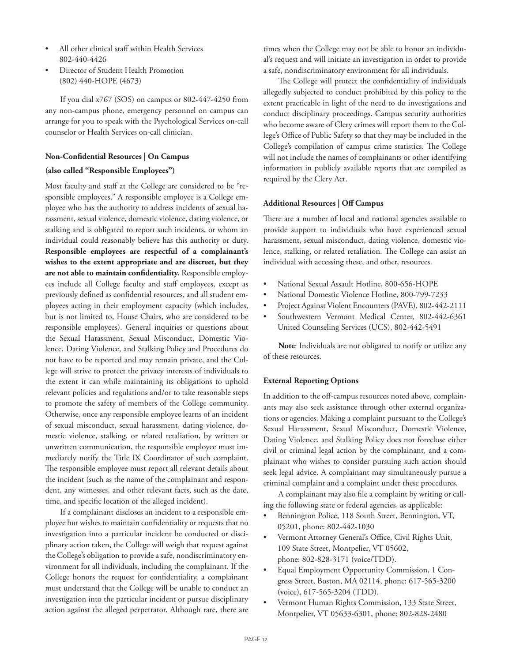- All other clinical staff within Health Services 802-440-4426
- Director of Student Health Promotion (802) 440-HOPE (4673)

If you dial x767 (SOS) on campus or 802-447-4250 from any non-campus phone, emergency personnel on campus can arrange for you to speak with the Psychological Services on-call counselor or Health Services on-call clinician.

## **Non-Confidential Resources | On Campus (also called "Responsible Employees")**

Most faculty and staff at the College are considered to be "responsible employees." A responsible employee is a College employee who has the authority to address incidents of sexual harassment, sexual violence, domestic violence, dating violence, or stalking and is obligated to report such incidents, or whom an individual could reasonably believe has this authority or duty. **Responsible employees are respectful of a complainant's wishes to the extent appropriate and are discreet, but they are not able to maintain confidentiality.** Responsible employees include all College faculty and staff employees, except as previously defined as confidential resources, and all student employees acting in their employment capacity (which includes, but is not limited to, House Chairs, who are considered to be responsible employees). General inquiries or questions about the Sexual Harassment, Sexual Misconduct, Domestic Violence, Dating Violence, and Stalking Policy and Procedures do not have to be reported and may remain private, and the College will strive to protect the privacy interests of individuals to the extent it can while maintaining its obligations to uphold relevant policies and regulations and/or to take reasonable steps to promote the safety of members of the College community. Otherwise, once any responsible employee learns of an incident of sexual misconduct, sexual harassment, dating violence, domestic violence, stalking, or related retaliation, by written or unwritten communication, the responsible employee must immediately notify the Title IX Coordinator of such complaint. The responsible employee must report all relevant details about the incident (such as the name of the complainant and respondent, any witnesses, and other relevant facts, such as the date, time, and specific location of the alleged incident).

If a complainant discloses an incident to a responsible employee but wishes to maintain confidentiality or requests that no investigation into a particular incident be conducted or disciplinary action taken, the College will weigh that request against the College's obligation to provide a safe, nondiscriminatory environment for all individuals, including the complainant. If the College honors the request for confidentiality, a complainant must understand that the College will be unable to conduct an investigation into the particular incident or pursue disciplinary action against the alleged perpetrator. Although rare, there are times when the College may not be able to honor an individual's request and will initiate an investigation in order to provide a safe, nondiscriminatory environment for all individuals.

The College will protect the confidentiality of individuals allegedly subjected to conduct prohibited by this policy to the extent practicable in light of the need to do investigations and conduct disciplinary proceedings. Campus security authorities who become aware of Clery crimes will report them to the College's Office of Public Safety so that they may be included in the College's compilation of campus crime statistics. The College will not include the names of complainants or other identifying information in publicly available reports that are compiled as required by the Clery Act.

#### **Additional Resources | Off Campus**

There are a number of local and national agencies available to provide support to individuals who have experienced sexual harassment, sexual misconduct, dating violence, domestic violence, stalking, or related retaliation. The College can assist an individual with accessing these, and other, resources.

- National Sexual Assault Hotline, 800-656-HOPE
- National Domestic Violence Hotline, 800-799-7233
- Project Against Violent Encounters (PAVE), 802-442-2111
- Southwestern Vermont Medical Center, 802-442-6361 United Counseling Services (UCS), 802-442-5491

**Note**: Individuals are not obligated to notify or utilize any of these resources.

#### **External Reporting Options**

In addition to the off-campus resources noted above, complainants may also seek assistance through other external organizations or agencies. Making a complaint pursuant to the College's Sexual Harassment, Sexual Misconduct, Domestic Violence, Dating Violence, and Stalking Policy does not foreclose either civil or criminal legal action by the complainant, and a complainant who wishes to consider pursuing such action should seek legal advice. A complainant may simultaneously pursue a criminal complaint and a complaint under these procedures.

A complainant may also file a complaint by writing or calling the following state or federal agencies, as applicable:

- Bennington Police, 118 South Street, Bennington, VT, 05201, phone: 802-442-1030
- Vermont Attorney General's Office, Civil Rights Unit, 109 State Street, Montpelier, VT 05602, phone: 802-828-3171 (voice/TDD).
- Equal Employment Opportunity Commission, 1 Congress Street, Boston, MA 02114, phone: 617-565-3200 (voice), 617-565-3204 (TDD).
- Vermont Human Rights Commission, 133 State Street, Montpelier, VT 05633-6301, phone: 802-828-2480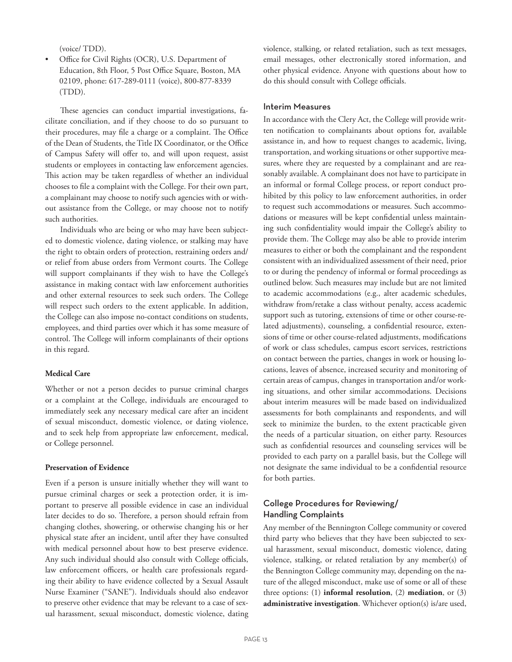(voice/ TDD).

• Office for Civil Rights (OCR), U.S. Department of Education, 8th Floor, 5 Post Office Square, Boston, MA 02109, phone: 617-289-0111 (voice), 800-877-8339 (TDD).

These agencies can conduct impartial investigations, facilitate conciliation, and if they choose to do so pursuant to their procedures, may file a charge or a complaint. The Office of the Dean of Students, the Title IX Coordinator, or the Office of Campus Safety will offer to, and will upon request, assist students or employees in contacting law enforcement agencies. This action may be taken regardless of whether an individual chooses to file a complaint with the College. For their own part, a complainant may choose to notify such agencies with or without assistance from the College, or may choose not to notify such authorities.

Individuals who are being or who may have been subjected to domestic violence, dating violence, or stalking may have the right to obtain orders of protection, restraining orders and/ or relief from abuse orders from Vermont courts. The College will support complainants if they wish to have the College's assistance in making contact with law enforcement authorities and other external resources to seek such orders. The College will respect such orders to the extent applicable. In addition, the College can also impose no-contact conditions on students, employees, and third parties over which it has some measure of control. The College will inform complainants of their options in this regard.

#### **Medical Care**

Whether or not a person decides to pursue criminal charges or a complaint at the College, individuals are encouraged to immediately seek any necessary medical care after an incident of sexual misconduct, domestic violence, or dating violence, and to seek help from appropriate law enforcement, medical, or College personnel.

#### **Preservation of Evidence**

Even if a person is unsure initially whether they will want to pursue criminal charges or seek a protection order, it is important to preserve all possible evidence in case an individual later decides to do so. Therefore, a person should refrain from changing clothes, showering, or otherwise changing his or her physical state after an incident, until after they have consulted with medical personnel about how to best preserve evidence. Any such individual should also consult with College officials, law enforcement officers, or health care professionals regarding their ability to have evidence collected by a Sexual Assault Nurse Examiner ("SANE"). Individuals should also endeavor to preserve other evidence that may be relevant to a case of sexual harassment, sexual misconduct, domestic violence, dating violence, stalking, or related retaliation, such as text messages, email messages, other electronically stored information, and other physical evidence. Anyone with questions about how to do this should consult with College officials.

#### Interim Measures

In accordance with the Clery Act, the College will provide written notification to complainants about options for, available assistance in, and how to request changes to academic, living, transportation, and working situations or other supportive measures, where they are requested by a complainant and are reasonably available. A complainant does not have to participate in an informal or formal College process, or report conduct prohibited by this policy to law enforcement authorities, in order to request such accommodations or measures. Such accommodations or measures will be kept confidential unless maintaining such confidentiality would impair the College's ability to provide them. The College may also be able to provide interim measures to either or both the complainant and the respondent consistent with an individualized assessment of their need, prior to or during the pendency of informal or formal proceedings as outlined below. Such measures may include but are not limited to academic accommodations (e.g., alter academic schedules, withdraw from/retake a class without penalty, access academic support such as tutoring, extensions of time or other course-related adjustments), counseling, a confidential resource, extensions of time or other course-related adjustments, modifications of work or class schedules, campus escort services, restrictions on contact between the parties, changes in work or housing locations, leaves of absence, increased security and monitoring of certain areas of campus, changes in transportation and/or working situations, and other similar accommodations. Decisions about interim measures will be made based on individualized assessments for both complainants and respondents, and will seek to minimize the burden, to the extent practicable given the needs of a particular situation, on either party. Resources such as confidential resources and counseling services will be provided to each party on a parallel basis, but the College will not designate the same individual to be a confidential resource for both parties.

## College Procedures for Reviewing/ Handling Complaints

Any member of the Bennington College community or covered third party who believes that they have been subjected to sexual harassment, sexual misconduct, domestic violence, dating violence, stalking, or related retaliation by any member(s) of the Bennington College community may, depending on the nature of the alleged misconduct, make use of some or all of these three options: (1) **informal resolution**, (2) **mediation**, or (3) **administrative investigation**. Whichever option(s) is/are used,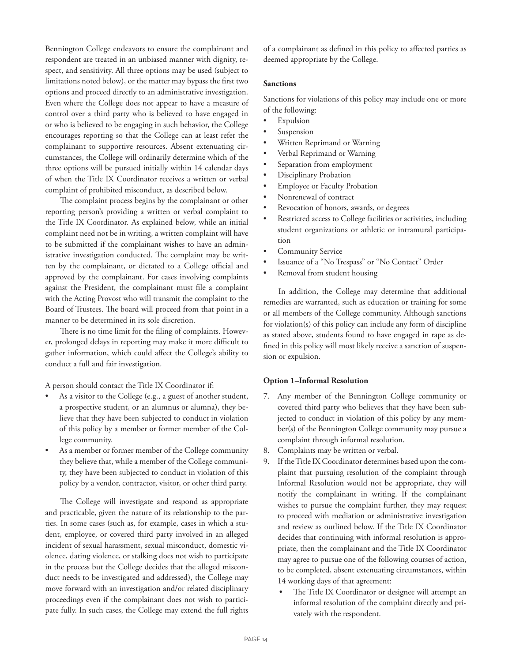Bennington College endeavors to ensure the complainant and respondent are treated in an unbiased manner with dignity, respect, and sensitivity. All three options may be used (subject to limitations noted below), or the matter may bypass the first two options and proceed directly to an administrative investigation. Even where the College does not appear to have a measure of control over a third party who is believed to have engaged in or who is believed to be engaging in such behavior, the College encourages reporting so that the College can at least refer the complainant to supportive resources. Absent extenuating circumstances, the College will ordinarily determine which of the three options will be pursued initially within 14 calendar days of when the Title IX Coordinator receives a written or verbal complaint of prohibited misconduct, as described below.

The complaint process begins by the complainant or other reporting person's providing a written or verbal complaint to the Title IX Coordinator. As explained below, while an initial complaint need not be in writing, a written complaint will have to be submitted if the complainant wishes to have an administrative investigation conducted. The complaint may be written by the complainant, or dictated to a College official and approved by the complainant. For cases involving complaints against the President, the complainant must file a complaint with the Acting Provost who will transmit the complaint to the Board of Trustees. The board will proceed from that point in a manner to be determined in its sole discretion.

There is no time limit for the filing of complaints. However, prolonged delays in reporting may make it more difficult to gather information, which could affect the College's ability to conduct a full and fair investigation.

A person should contact the Title IX Coordinator if:

- As a visitor to the College (e.g., a guest of another student, a prospective student, or an alumnus or alumna), they believe that they have been subjected to conduct in violation of this policy by a member or former member of the College community.
- As a member or former member of the College community they believe that, while a member of the College community, they have been subjected to conduct in violation of this policy by a vendor, contractor, visitor, or other third party.

The College will investigate and respond as appropriate and practicable, given the nature of its relationship to the parties. In some cases (such as, for example, cases in which a student, employee, or covered third party involved in an alleged incident of sexual harassment, sexual misconduct, domestic violence, dating violence, or stalking does not wish to participate in the process but the College decides that the alleged misconduct needs to be investigated and addressed), the College may move forward with an investigation and/or related disciplinary proceedings even if the complainant does not wish to participate fully. In such cases, the College may extend the full rights of a complainant as defined in this policy to affected parties as deemed appropriate by the College.

#### **Sanctions**

Sanctions for violations of this policy may include one or more of the following:

- **Expulsion**
- **Suspension**
- Written Reprimand or Warning
- Verbal Reprimand or Warning
- Separation from employment
- Disciplinary Probation
- **Employee or Faculty Probation**
- Nonrenewal of contract
- Revocation of honors, awards, or degrees
- Restricted access to College facilities or activities, including student organizations or athletic or intramural participation
- Community Service
- Issuance of a "No Trespass" or "No Contact" Order
- Removal from student housing

In addition, the College may determine that additional remedies are warranted, such as education or training for some or all members of the College community. Although sanctions for violation(s) of this policy can include any form of discipline as stated above, students found to have engaged in rape as defined in this policy will most likely receive a sanction of suspension or expulsion.

#### **Option 1–Informal Resolution**

- 7. Any member of the Bennington College community or covered third party who believes that they have been subjected to conduct in violation of this policy by any member(s) of the Bennington College community may pursue a complaint through informal resolution.
- 8. Complaints may be written or verbal.
- 9. If the Title IX Coordinator determines based upon the complaint that pursuing resolution of the complaint through Informal Resolution would not be appropriate, they will notify the complainant in writing. If the complainant wishes to pursue the complaint further, they may request to proceed with mediation or administrative investigation and review as outlined below. If the Title IX Coordinator decides that continuing with informal resolution is appropriate, then the complainant and the Title IX Coordinator may agree to pursue one of the following courses of action, to be completed, absent extenuating circumstances, within 14 working days of that agreement:
	- The Title IX Coordinator or designee will attempt an informal resolution of the complaint directly and privately with the respondent.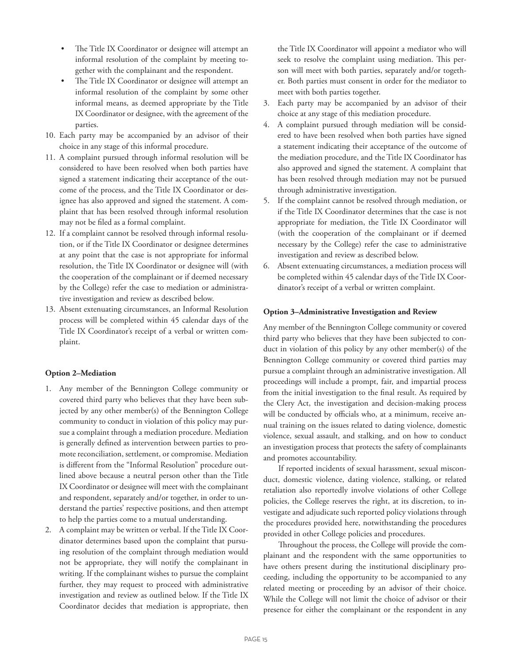- The Title IX Coordinator or designee will attempt an informal resolution of the complaint by meeting together with the complainant and the respondent.
- The Title IX Coordinator or designee will attempt an informal resolution of the complaint by some other informal means, as deemed appropriate by the Title IX Coordinator or designee, with the agreement of the parties.
- 10. Each party may be accompanied by an advisor of their choice in any stage of this informal procedure.
- 11. A complaint pursued through informal resolution will be considered to have been resolved when both parties have signed a statement indicating their acceptance of the outcome of the process, and the Title IX Coordinator or designee has also approved and signed the statement. A complaint that has been resolved through informal resolution may not be filed as a formal complaint.
- 12. If a complaint cannot be resolved through informal resolution, or if the Title IX Coordinator or designee determines at any point that the case is not appropriate for informal resolution, the Title IX Coordinator or designee will (with the cooperation of the complainant or if deemed necessary by the College) refer the case to mediation or administrative investigation and review as described below.
- 13. Absent extenuating circumstances, an Informal Resolution process will be completed within 45 calendar days of the Title IX Coordinator's receipt of a verbal or written complaint.

#### **Option 2–Mediation**

- 1. Any member of the Bennington College community or covered third party who believes that they have been subjected by any other member(s) of the Bennington College community to conduct in violation of this policy may pursue a complaint through a mediation procedure. Mediation is generally defined as intervention between parties to promote reconciliation, settlement, or compromise. Mediation is different from the "Informal Resolution" procedure outlined above because a neutral person other than the Title IX Coordinator or designee will meet with the complainant and respondent, separately and/or together, in order to understand the parties' respective positions, and then attempt to help the parties come to a mutual understanding.
- 2. A complaint may be written or verbal. If the Title IX Coordinator determines based upon the complaint that pursuing resolution of the complaint through mediation would not be appropriate, they will notify the complainant in writing. If the complainant wishes to pursue the complaint further, they may request to proceed with administrative investigation and review as outlined below. If the Title IX Coordinator decides that mediation is appropriate, then

the Title IX Coordinator will appoint a mediator who will seek to resolve the complaint using mediation. This person will meet with both parties, separately and/or together. Both parties must consent in order for the mediator to meet with both parties together.

- 3. Each party may be accompanied by an advisor of their choice at any stage of this mediation procedure.
- 4. A complaint pursued through mediation will be considered to have been resolved when both parties have signed a statement indicating their acceptance of the outcome of the mediation procedure, and the Title IX Coordinator has also approved and signed the statement. A complaint that has been resolved through mediation may not be pursued through administrative investigation.
- 5. If the complaint cannot be resolved through mediation, or if the Title IX Coordinator determines that the case is not appropriate for mediation, the Title IX Coordinator will (with the cooperation of the complainant or if deemed necessary by the College) refer the case to administrative investigation and review as described below.
- 6. Absent extenuating circumstances, a mediation process will be completed within 45 calendar days of the Title IX Coordinator's receipt of a verbal or written complaint.

#### **Option 3–Administrative Investigation and Review**

Any member of the Bennington College community or covered third party who believes that they have been subjected to conduct in violation of this policy by any other member(s) of the Bennington College community or covered third parties may pursue a complaint through an administrative investigation. All proceedings will include a prompt, fair, and impartial process from the initial investigation to the final result. As required by the Clery Act, the investigation and decision-making process will be conducted by officials who, at a minimum, receive annual training on the issues related to dating violence, domestic violence, sexual assault, and stalking, and on how to conduct an investigation process that protects the safety of complainants and promotes accountability.

If reported incidents of sexual harassment, sexual misconduct, domestic violence, dating violence, stalking, or related retaliation also reportedly involve violations of other College policies, the College reserves the right, at its discretion, to investigate and adjudicate such reported policy violations through the procedures provided here, notwithstanding the procedures provided in other College policies and procedures.

Throughout the process, the College will provide the complainant and the respondent with the same opportunities to have others present during the institutional disciplinary proceeding, including the opportunity to be accompanied to any related meeting or proceeding by an advisor of their choice. While the College will not limit the choice of advisor or their presence for either the complainant or the respondent in any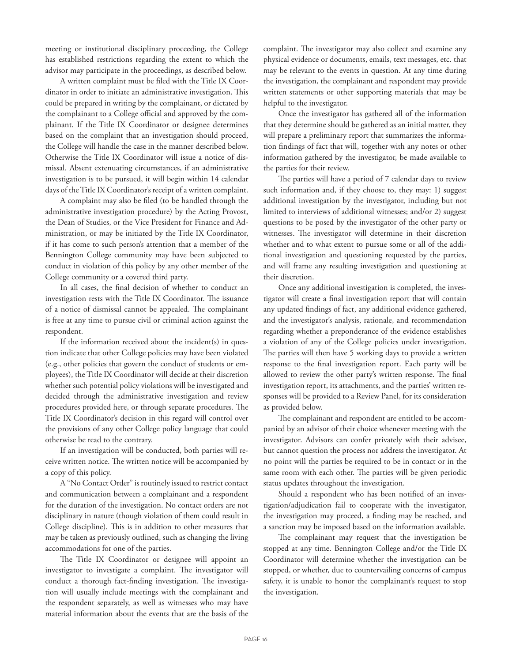meeting or institutional disciplinary proceeding, the College has established restrictions regarding the extent to which the advisor may participate in the proceedings, as described below.

A written complaint must be filed with the Title IX Coordinator in order to initiate an administrative investigation. This could be prepared in writing by the complainant, or dictated by the complainant to a College official and approved by the complainant. If the Title IX Coordinator or designee determines based on the complaint that an investigation should proceed, the College will handle the case in the manner described below. Otherwise the Title IX Coordinator will issue a notice of dismissal. Absent extenuating circumstances, if an administrative investigation is to be pursued, it will begin within 14 calendar days of the Title IX Coordinator's receipt of a written complaint.

A complaint may also be filed (to be handled through the administrative investigation procedure) by the Acting Provost, the Dean of Studies, or the Vice President for Finance and Administration, or may be initiated by the Title IX Coordinator, if it has come to such person's attention that a member of the Bennington College community may have been subjected to conduct in violation of this policy by any other member of the College community or a covered third party.

In all cases, the final decision of whether to conduct an investigation rests with the Title IX Coordinator. The issuance of a notice of dismissal cannot be appealed. The complainant is free at any time to pursue civil or criminal action against the respondent.

If the information received about the incident(s) in question indicate that other College policies may have been violated (e.g., other policies that govern the conduct of students or employees), the Title IX Coordinator will decide at their discretion whether such potential policy violations will be investigated and decided through the administrative investigation and review procedures provided here, or through separate procedures. The Title IX Coordinator's decision in this regard will control over the provisions of any other College policy language that could otherwise be read to the contrary.

If an investigation will be conducted, both parties will receive written notice. The written notice will be accompanied by a copy of this policy.

A "No Contact Order" is routinely issued to restrict contact and communication between a complainant and a respondent for the duration of the investigation. No contact orders are not disciplinary in nature (though violation of them could result in College discipline). This is in addition to other measures that may be taken as previously outlined, such as changing the living accommodations for one of the parties.

The Title IX Coordinator or designee will appoint an investigator to investigate a complaint. The investigator will conduct a thorough fact-finding investigation. The investigation will usually include meetings with the complainant and the respondent separately, as well as witnesses who may have material information about the events that are the basis of the complaint. The investigator may also collect and examine any physical evidence or documents, emails, text messages, etc. that may be relevant to the events in question. At any time during the investigation, the complainant and respondent may provide written statements or other supporting materials that may be helpful to the investigator.

Once the investigator has gathered all of the information that they determine should be gathered as an initial matter, they will prepare a preliminary report that summarizes the information findings of fact that will, together with any notes or other information gathered by the investigator, be made available to the parties for their review.

The parties will have a period of 7 calendar days to review such information and, if they choose to, they may: 1) suggest additional investigation by the investigator, including but not limited to interviews of additional witnesses; and/or 2) suggest questions to be posed by the investigator of the other party or witnesses. The investigator will determine in their discretion whether and to what extent to pursue some or all of the additional investigation and questioning requested by the parties, and will frame any resulting investigation and questioning at their discretion.

Once any additional investigation is completed, the investigator will create a final investigation report that will contain any updated findings of fact, any additional evidence gathered, and the investigator's analysis, rationale, and recommendation regarding whether a preponderance of the evidence establishes a violation of any of the College policies under investigation. The parties will then have 5 working days to provide a written response to the final investigation report. Each party will be allowed to review the other party's written response. The final investigation report, its attachments, and the parties' written responses will be provided to a Review Panel, for its consideration as provided below.

The complainant and respondent are entitled to be accompanied by an advisor of their choice whenever meeting with the investigator. Advisors can confer privately with their advisee, but cannot question the process nor address the investigator. At no point will the parties be required to be in contact or in the same room with each other. The parties will be given periodic status updates throughout the investigation.

Should a respondent who has been notified of an investigation/adjudication fail to cooperate with the investigator, the investigation may proceed, a finding may be reached, and a sanction may be imposed based on the information available.

The complainant may request that the investigation be stopped at any time. Bennington College and/or the Title IX Coordinator will determine whether the investigation can be stopped, or whether, due to countervailing concerns of campus safety, it is unable to honor the complainant's request to stop the investigation.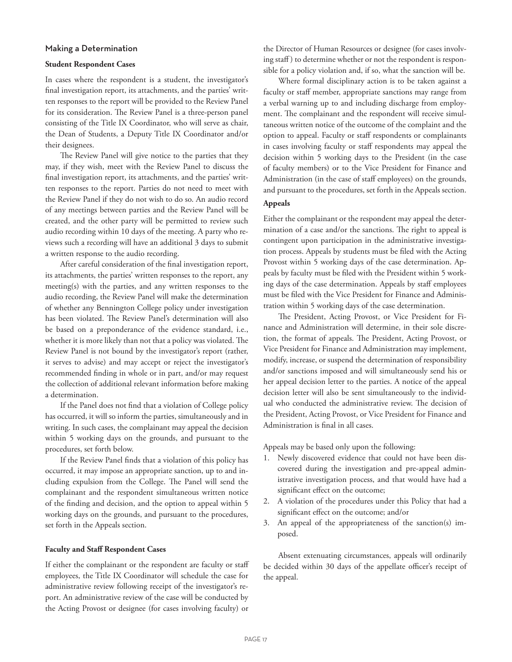#### Making a Determination

#### **Student Respondent Cases**

In cases where the respondent is a student, the investigator's final investigation report, its attachments, and the parties' written responses to the report will be provided to the Review Panel for its consideration. The Review Panel is a three-person panel consisting of the Title IX Coordinator, who will serve as chair, the Dean of Students, a Deputy Title IX Coordinator and/or their designees.

The Review Panel will give notice to the parties that they may, if they wish, meet with the Review Panel to discuss the final investigation report, its attachments, and the parties' written responses to the report. Parties do not need to meet with the Review Panel if they do not wish to do so. An audio record of any meetings between parties and the Review Panel will be created, and the other party will be permitted to review such audio recording within 10 days of the meeting. A party who reviews such a recording will have an additional 3 days to submit a written response to the audio recording.

After careful consideration of the final investigation report, its attachments, the parties' written responses to the report, any meeting(s) with the parties, and any written responses to the audio recording, the Review Panel will make the determination of whether any Bennington College policy under investigation has been violated. The Review Panel's determination will also be based on a preponderance of the evidence standard, i.e., whether it is more likely than not that a policy was violated. The Review Panel is not bound by the investigator's report (rather, it serves to advise) and may accept or reject the investigator's recommended finding in whole or in part, and/or may request the collection of additional relevant information before making a determination.

If the Panel does not find that a violation of College policy has occurred, it will so inform the parties, simultaneously and in writing. In such cases, the complainant may appeal the decision within 5 working days on the grounds, and pursuant to the procedures, set forth below.

If the Review Panel finds that a violation of this policy has occurred, it may impose an appropriate sanction, up to and including expulsion from the College. The Panel will send the complainant and the respondent simultaneous written notice of the finding and decision, and the option to appeal within 5 working days on the grounds, and pursuant to the procedures, set forth in the Appeals section.

#### **Faculty and Staff Respondent Cases**

If either the complainant or the respondent are faculty or staff employees, the Title IX Coordinator will schedule the case for administrative review following receipt of the investigator's report. An administrative review of the case will be conducted by the Acting Provost or designee (for cases involving faculty) or

the Director of Human Resources or designee (for cases involving staff ) to determine whether or not the respondent is responsible for a policy violation and, if so, what the sanction will be.

Where formal disciplinary action is to be taken against a faculty or staff member, appropriate sanctions may range from a verbal warning up to and including discharge from employment. The complainant and the respondent will receive simultaneous written notice of the outcome of the complaint and the option to appeal. Faculty or staff respondents or complainants in cases involving faculty or staff respondents may appeal the decision within 5 working days to the President (in the case of faculty members) or to the Vice President for Finance and Administration (in the case of staff employees) on the grounds, and pursuant to the procedures, set forth in the Appeals section.

## **Appeals**

Either the complainant or the respondent may appeal the determination of a case and/or the sanctions. The right to appeal is contingent upon participation in the administrative investigation process. Appeals by students must be filed with the Acting Provost within 5 working days of the case determination. Appeals by faculty must be filed with the President within 5 working days of the case determination. Appeals by staff employees must be filed with the Vice President for Finance and Administration within 5 working days of the case determination.

The President, Acting Provost, or Vice President for Finance and Administration will determine, in their sole discretion, the format of appeals. The President, Acting Provost, or Vice President for Finance and Administration may implement, modify, increase, or suspend the determination of responsibility and/or sanctions imposed and will simultaneously send his or her appeal decision letter to the parties. A notice of the appeal decision letter will also be sent simultaneously to the individual who conducted the administrative review. The decision of the President, Acting Provost, or Vice President for Finance and Administration is final in all cases.

Appeals may be based only upon the following:

- 1. Newly discovered evidence that could not have been discovered during the investigation and pre-appeal administrative investigation process, and that would have had a significant effect on the outcome;
- 2. A violation of the procedures under this Policy that had a significant effect on the outcome; and/or
- 3. An appeal of the appropriateness of the sanction(s) imposed.

Absent extenuating circumstances, appeals will ordinarily be decided within 30 days of the appellate officer's receipt of the appeal.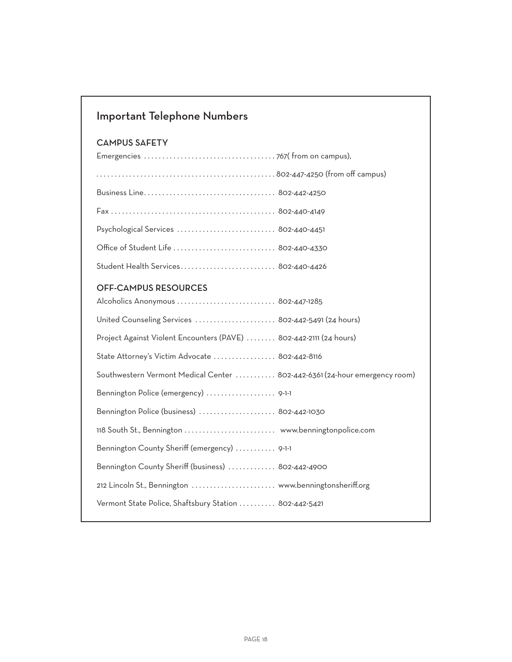## Important Telephone Numbers

## CAMPUS SAFETY

| Psychological Services  802-440-4451 |  |
|--------------------------------------|--|
| Office of Student Life  802-440-4330 |  |
| Student Health Services 802-440-4426 |  |

## OFF-CAMPUS RESOURCES

| Alcoholics Anonymous  802-447-1285                                         |  |
|----------------------------------------------------------------------------|--|
| United Counseling Services  802-442-5491 (24 hours)                        |  |
| Project Against Violent Encounters (PAVE)  802-442-2111 (24 hours)         |  |
| State Attorney's Victim Advocate  802-442-8116                             |  |
| Southwestern Vermont Medical Center  802-442-6361 (24-hour emergency room) |  |
| Bennington Police (emergency)  9-1-1                                       |  |
| Bennington Police (business)  802-442-1030                                 |  |
|                                                                            |  |
| Bennington County Sheriff (emergency)  9-1-1                               |  |
| Bennington County Sheriff (business)  802-442-4900                         |  |
| 212 Lincoln St., Bennington  www.benningtonsheriff.org                     |  |
| Vermont State Police, Shaftsbury Station  802-442-5421                     |  |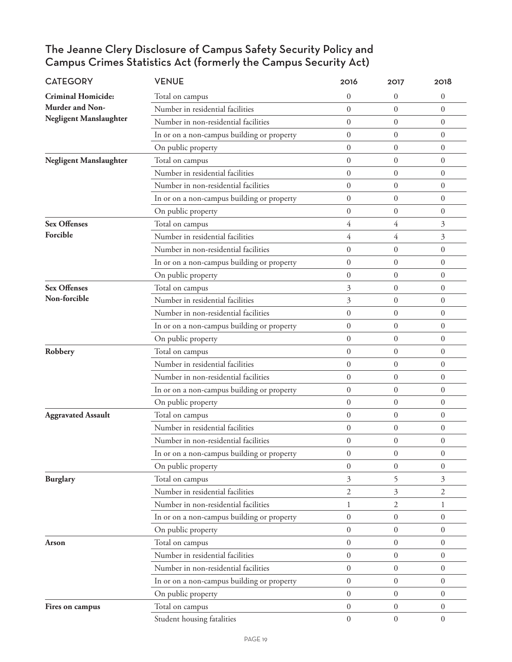## The Jeanne Clery Disclosure of Campus Safety Security Policy and Campus Crimes Statistics Act (formerly the Campus Security Act)

| <b>CATEGORY</b>               | <b>VENUE</b>                               | 2016             | 2017             | 2018             |
|-------------------------------|--------------------------------------------|------------------|------------------|------------------|
| <b>Criminal Homicide:</b>     | Total on campus                            | $\overline{0}$   | 0                | $\boldsymbol{0}$ |
| Murder and Non-               | Number in residential facilities           | $\overline{0}$   | $\overline{0}$   | $\overline{0}$   |
| Negligent Manslaughter        | Number in non-residential facilities       | $\overline{0}$   | $\overline{0}$   | $\mathbf{0}$     |
|                               | In or on a non-campus building or property | $\overline{0}$   | $\overline{0}$   | $\mathbf{0}$     |
|                               | On public property                         | $\Omega$         | $\overline{0}$   | $\overline{0}$   |
| <b>Negligent Manslaughter</b> | Total on campus                            | $\overline{0}$   | $\overline{0}$   | $\overline{0}$   |
|                               | Number in residential facilities           | $\overline{0}$   | $\overline{0}$   | $\overline{0}$   |
|                               | Number in non-residential facilities       | $\overline{0}$   | $\boldsymbol{0}$ | $\boldsymbol{0}$ |
|                               | In or on a non-campus building or property | $\overline{0}$   | $\boldsymbol{0}$ | $\boldsymbol{0}$ |
|                               | On public property                         | $\overline{0}$   | $\boldsymbol{0}$ | $\boldsymbol{0}$ |
| <b>Sex Offenses</b>           | Total on campus                            | 4                | 4                | 3                |
| Forcible                      | Number in residential facilities           | 4                | $\overline{4}$   | 3                |
|                               | Number in non-residential facilities       | $\overline{0}$   | $\boldsymbol{0}$ | $\overline{0}$   |
|                               | In or on a non-campus building or property | $\overline{0}$   | $\overline{0}$   | $\overline{0}$   |
|                               | On public property                         | $\overline{0}$   | $\overline{0}$   | $\theta$         |
| <b>Sex Offenses</b>           | Total on campus                            | 3                | 0                | $\boldsymbol{0}$ |
| Non-forcible                  | Number in residential facilities           | 3                | $\overline{0}$   | $\overline{0}$   |
|                               | Number in non-residential facilities       | $\overline{0}$   | 0                | $\overline{0}$   |
|                               | In or on a non-campus building or property | $\overline{0}$   | $\boldsymbol{0}$ | $\overline{0}$   |
|                               | On public property                         | $\overline{0}$   | $\overline{0}$   | $\overline{0}$   |
| Robbery                       | Total on campus                            | $\overline{0}$   | $\overline{0}$   | $\overline{0}$   |
|                               | Number in residential facilities           | $\overline{0}$   | $\overline{0}$   | $\mathbf{0}$     |
|                               | Number in non-residential facilities       | $\boldsymbol{0}$ | $\boldsymbol{0}$ | $\boldsymbol{0}$ |
|                               | In or on a non-campus building or property | $\overline{0}$   | $\overline{0}$   | $\overline{0}$   |
|                               | On public property                         | $\overline{0}$   | $\overline{0}$   | $\theta$         |
| <b>Aggravated Assault</b>     | Total on campus                            | $\overline{0}$   | $\overline{0}$   | $\overline{0}$   |
|                               | Number in residential facilities           | $\overline{0}$   | $\boldsymbol{0}$ | $\boldsymbol{0}$ |
|                               | Number in non-residential facilities       | $\overline{0}$   | $\boldsymbol{0}$ | $\mathbf{0}$     |
|                               | In or on a non-campus building or property | 0                | 0                | $\theta$         |
|                               | On public property                         | $\overline{0}$   | $\boldsymbol{0}$ | $\overline{0}$   |
| <b>Burglary</b>               | Total on campus                            | 3                | 5                | 3                |
|                               | Number in residential facilities           | 2                | 3                | $\mathfrak{2}$   |
|                               | Number in non-residential facilities       | 1                | $\overline{2}$   | 1                |
|                               | In or on a non-campus building or property | $\boldsymbol{0}$ | $\boldsymbol{0}$ | $\boldsymbol{0}$ |
|                               | On public property                         | $\overline{0}$   | $\overline{0}$   | $\overline{0}$   |
| Arson                         | Total on campus                            | $\boldsymbol{0}$ | $\boldsymbol{0}$ | $\boldsymbol{0}$ |
|                               | Number in residential facilities           | $\overline{0}$   | $\overline{0}$   | $\overline{0}$   |
|                               | Number in non-residential facilities       | $\boldsymbol{0}$ | $\boldsymbol{0}$ | $\boldsymbol{0}$ |
|                               | In or on a non-campus building or property | $\boldsymbol{0}$ | $\overline{0}$   | $\mathbf{0}$     |
|                               | On public property                         | $\overline{0}$   | $\overline{0}$   | $\boldsymbol{0}$ |
| Fires on campus               | Total on campus                            | $\overline{0}$   | $\overline{0}$   | $\mathbf{0}$     |
|                               | Student housing fatalities                 | $\boldsymbol{0}$ | $\boldsymbol{0}$ | $\overline{0}$   |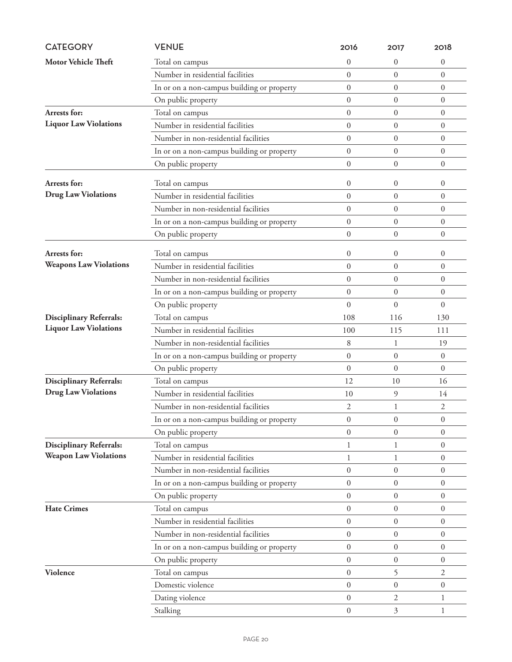| <b>CATEGORY</b>                | <b>VENUE</b>                               | 2016             | 2017             | 2018             |
|--------------------------------|--------------------------------------------|------------------|------------------|------------------|
| <b>Motor Vehicle Theft</b>     | Total on campus                            | $\overline{0}$   | 0                | $\boldsymbol{0}$ |
|                                | Number in residential facilities           | $\mathbf{0}$     | $\overline{0}$   | $\boldsymbol{0}$ |
|                                | In or on a non-campus building or property | $\mathbf{0}$     | $\overline{0}$   | $\boldsymbol{0}$ |
|                                | On public property                         | $\overline{0}$   | $\mathbf{0}$     | $\boldsymbol{0}$ |
| Arrests for:                   | Total on campus                            | $\mathbf{0}$     | $\mathbf{0}$     | $\boldsymbol{0}$ |
| <b>Liquor Law Violations</b>   | Number in residential facilities           | $\theta$         | $\overline{0}$   | $\theta$         |
|                                | Number in non-residential facilities       | $\overline{0}$   | $\overline{0}$   | $\boldsymbol{0}$ |
|                                | In or on a non-campus building or property | $\boldsymbol{0}$ | $\boldsymbol{0}$ | $\boldsymbol{0}$ |
|                                | On public property                         | $\mathbf{0}$     | $\boldsymbol{0}$ | $\boldsymbol{0}$ |
| Arrests for:                   | Total on campus                            | $\overline{0}$   | $\boldsymbol{0}$ | $\boldsymbol{0}$ |
| <b>Drug Law Violations</b>     | Number in residential facilities           | $\Omega$         | $\overline{0}$   | $\theta$         |
|                                | Number in non-residential facilities       | $\overline{0}$   | $\overline{0}$   | $\boldsymbol{0}$ |
|                                | In or on a non-campus building or property | $\mathbf{0}$     | $\boldsymbol{0}$ | $\boldsymbol{0}$ |
|                                | On public property                         | $\mathbf{0}$     | $\boldsymbol{0}$ | $\boldsymbol{0}$ |
|                                |                                            |                  |                  |                  |
| Arrests for:                   | Total on campus                            | $\overline{0}$   | $\boldsymbol{0}$ | $\boldsymbol{0}$ |
| <b>Weapons Law Violations</b>  | Number in residential facilities           | $\overline{0}$   | $\overline{0}$   | $\overline{0}$   |
|                                | Number in non-residential facilities       | $\overline{0}$   | $\overline{0}$   | $\boldsymbol{0}$ |
|                                | In or on a non-campus building or property | $\boldsymbol{0}$ | $\boldsymbol{0}$ | $\mathbf{0}$     |
|                                | On public property                         | $\Omega$         | $\theta$         | $\theta$         |
| <b>Disciplinary Referrals:</b> | Total on campus                            | 108              | 116              | 130              |
| <b>Liquor Law Violations</b>   | Number in residential facilities           | 100              | 115              | 111              |
|                                | Number in non-residential facilities       | 8                | 1                | 19               |
|                                | In or on a non-campus building or property | $\overline{0}$   | $\overline{0}$   | $\boldsymbol{0}$ |
|                                | On public property                         | $\overline{0}$   | $\overline{0}$   | $\overline{0}$   |
| <b>Disciplinary Referrals:</b> | Total on campus                            | 12               | 10               | 16               |
| <b>Drug Law Violations</b>     | Number in residential facilities           | 10               | 9                | 14               |
|                                | Number in non-residential facilities       | 2                | 1                | 2                |
|                                | In or on a non-campus building or property | $\boldsymbol{0}$ | $\boldsymbol{0}$ | $\boldsymbol{0}$ |
|                                | On public property                         | $\overline{0}$   | $\overline{0}$   | $\overline{0}$   |
| <b>Disciplinary Referrals:</b> | Total on campus                            | 1                | 1                | $\boldsymbol{0}$ |
| <b>Weapon Law Violations</b>   | Number in residential facilities           | $\mathbf{1}$     | 1                | $\boldsymbol{0}$ |
|                                | Number in non-residential facilities       | $\mathbf{0}$     | $\mathbf{0}$     | $\overline{0}$   |
|                                | In or on a non-campus building or property | $\boldsymbol{0}$ | $\boldsymbol{0}$ | $\boldsymbol{0}$ |
|                                | On public property                         | $\overline{0}$   | $\boldsymbol{0}$ | $\mathbf{0}$     |
| <b>Hate Crimes</b>             | Total on campus                            | $\mathbf{0}$     | $\boldsymbol{0}$ | $\boldsymbol{0}$ |
|                                | Number in residential facilities           | $\mathbf{0}$     | $\overline{0}$   | $\overline{0}$   |
|                                | Number in non-residential facilities       | $\overline{0}$   | $\mathbf{0}$     | $\overline{0}$   |
|                                | In or on a non-campus building or property | $\boldsymbol{0}$ | $\overline{0}$   | $\theta$         |
|                                | On public property                         | $\overline{0}$   | $\overline{0}$   | $\boldsymbol{0}$ |
| <b>Violence</b>                | Total on campus                            | $\boldsymbol{0}$ | 5                | 2                |
|                                | Domestic violence                          | $\mathbf{0}$     | $\overline{0}$   | $\boldsymbol{0}$ |
|                                | Dating violence                            | $\boldsymbol{0}$ | 2                | $\mathbf{1}$     |
|                                | Stalking                                   | $\boldsymbol{0}$ | 3                | 1                |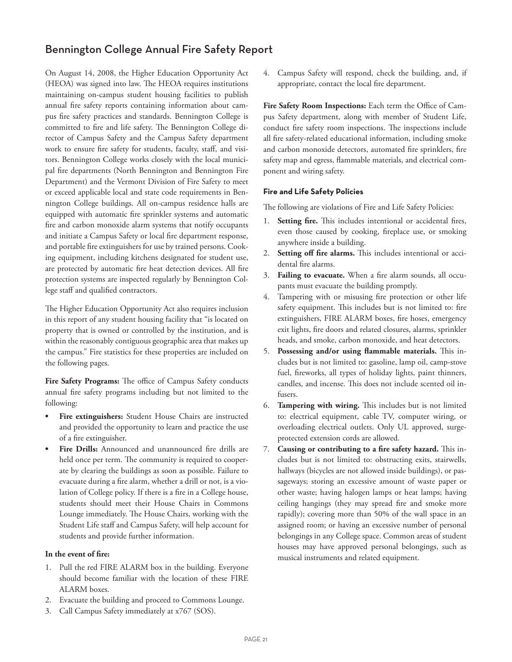## Bennington College Annual Fire Safety Report

On August 14, 2008, the Higher Education Opportunity Act (HEOA) was signed into law. The HEOA requires institutions maintaining on-campus student housing facilities to publish annual fire safety reports containing information about campus fire safety practices and standards. Bennington College is committed to fire and life safety. The Bennington College director of Campus Safety and the Campus Safety department work to ensure fire safety for students, faculty, staff, and visitors. Bennington College works closely with the local municipal fire departments (North Bennington and Bennington Fire Department) and the Vermont Division of Fire Safety to meet or exceed applicable local and state code requirements in Bennington College buildings. All on-campus residence halls are equipped with automatic fire sprinkler systems and automatic fire and carbon monoxide alarm systems that notify occupants and initiate a Campus Safety or local fire department response, and portable fire extinguishers for use by trained persons. Cooking equipment, including kitchens designated for student use, are protected by automatic fire heat detection devices. All fire protection systems are inspected regularly by Bennington College staff and qualified contractors.

The Higher Education Opportunity Act also requires inclusion in this report of any student housing facility that "is located on property that is owned or controlled by the institution, and is within the reasonably contiguous geographic area that makes up the campus." Fire statistics for these properties are included on the following pages.

**Fire Safety Programs:** The office of Campus Safety conducts annual fire safety programs including but not limited to the following:

- **• Fire extinguishers:** Student House Chairs are instructed and provided the opportunity to learn and practice the use of a fire extinguisher.
- **• Fire Drills:** Announced and unannounced fire drills are held once per term. The community is required to cooperate by clearing the buildings as soon as possible. Failure to evacuate during a fire alarm, whether a drill or not, is a violation of College policy. If there is a fire in a College house, students should meet their House Chairs in Commons Lounge immediately. The House Chairs, working with the Student Life staff and Campus Safety, will help account for students and provide further information.

#### **In the event of fire:**

- 1. Pull the red FIRE ALARM box in the building. Everyone should become familiar with the location of these FIRE ALARM boxes.
- 2. Evacuate the building and proceed to Commons Lounge.
- 3. Call Campus Safety immediately at x767 (SOS).

4. Campus Safety will respond, check the building, and, if appropriate, contact the local fire department.

**Fire Safety Room Inspections:** Each term the Office of Campus Safety department, along with member of Student Life, conduct fire safety room inspections. The inspections include all fire safety-related educational information, including smoke and carbon monoxide detectors, automated fire sprinklers, fire safety map and egress, flammable materials, and electrical component and wiring safety.

#### **Fire and Life Safety Policies**

The following are violations of Fire and Life Safety Policies:

- 1. **Setting fire.** This includes intentional or accidental fires, even those caused by cooking, fireplace use, or smoking anywhere inside a building.
- 2. **Setting off fire alarms.** This includes intentional or accidental fire alarms.
- 3. **Failing to evacuate.** When a fire alarm sounds, all occupants must evacuate the building promptly.
- 4. Tampering with or misusing fire protection or other life safety equipment. This includes but is not limited to: fire extinguishers, FIRE ALARM boxes, fire hoses, emergency exit lights, fire doors and related closures, alarms, sprinkler heads, and smoke, carbon monoxide, and heat detectors.
- 5. **Possessing and/or using flammable materials.** This includes but is not limited to: gasoline, lamp oil, camp-stove fuel, fireworks, all types of holiday lights, paint thinners, candles, and incense. This does not include scented oil infusers.
- 6. **Tampering with wiring.** This includes but is not limited to: electrical equipment, cable TV, computer wiring, or overloading electrical outlets. Only UL approved, surgeprotected extension cords are allowed.
- 7. **Causing or contributing to a fire safety hazard.** This includes but is not limited to: obstructing exits, stairwells, hallways (bicycles are not allowed inside buildings), or passageways; storing an excessive amount of waste paper or other waste; having halogen lamps or heat lamps; having ceiling hangings (they may spread fire and smoke more rapidly); covering more than 50% of the wall space in an assigned room; or having an excessive number of personal belongings in any College space. Common areas of student houses may have approved personal belongings, such as musical instruments and related equipment.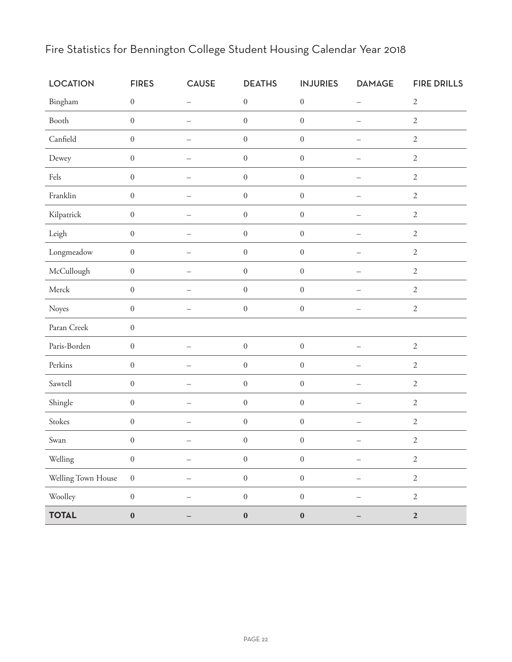| <b>LOCATION</b>    | <b>FIRES</b>     | <b>CAUSE</b>             | <b>DEATHS</b>    | <b>INJURIES</b>  | <b>DAMAGE</b>            | <b>FIRE DRILLS</b> |
|--------------------|------------------|--------------------------|------------------|------------------|--------------------------|--------------------|
| Bingham            | $\boldsymbol{0}$ | $\equiv$                 | $\boldsymbol{0}$ | $\boldsymbol{0}$ | $\overline{\phantom{0}}$ | $\sqrt{2}$         |
| Booth              | $\boldsymbol{0}$ |                          | $\boldsymbol{0}$ | $\boldsymbol{0}$ |                          | $\sqrt{2}$         |
| Canfield           | $\boldsymbol{0}$ | $\overline{\phantom{a}}$ | $\boldsymbol{0}$ | $\boldsymbol{0}$ |                          | $\sqrt{2}$         |
| Dewey              | $\boldsymbol{0}$ | $\overline{\phantom{0}}$ | $\boldsymbol{0}$ | $\boldsymbol{0}$ |                          | $\sqrt{2}$         |
| Fels               | $\boldsymbol{0}$ | $\overline{\phantom{0}}$ | $\boldsymbol{0}$ | $\boldsymbol{0}$ | $\qquad \qquad -$        | $\sqrt{2}$         |
| Franklin           | $\boldsymbol{0}$ | $\overline{\phantom{0}}$ | $\boldsymbol{0}$ | $\boldsymbol{0}$ | $\qquad \qquad -$        | $\sqrt{2}$         |
| Kilpatrick         | $\boldsymbol{0}$ | $\overline{\phantom{0}}$ | $\boldsymbol{0}$ | $\boldsymbol{0}$ |                          | $\sqrt{2}$         |
| Leigh              | $\boldsymbol{0}$ |                          | $\boldsymbol{0}$ | $\boldsymbol{0}$ |                          | $\sqrt{2}$         |
| Longmeadow         | $\boldsymbol{0}$ |                          | $\boldsymbol{0}$ | $\boldsymbol{0}$ |                          | $\sqrt{2}$         |
| McCullough         | $\boldsymbol{0}$ |                          | $\boldsymbol{0}$ | $\boldsymbol{0}$ |                          | $\sqrt{2}$         |
| Merck              | $\boldsymbol{0}$ | $\overline{\phantom{0}}$ | $\boldsymbol{0}$ | $\boldsymbol{0}$ |                          | $\sqrt{2}$         |
| Noyes              | $\boldsymbol{0}$ | $\overline{\phantom{0}}$ | $\boldsymbol{0}$ | $\boldsymbol{0}$ | $\qquad \qquad -$        | $\mathbf{2}$       |
| Paran Creek        | $\boldsymbol{0}$ |                          |                  |                  |                          |                    |
| Paris-Borden       | $\boldsymbol{0}$ | $\overline{\phantom{0}}$ | $\boldsymbol{0}$ | $\boldsymbol{0}$ | $\qquad \qquad -$        | $\sqrt{2}$         |
| Perkins            | $\boldsymbol{0}$ | $\overline{\phantom{0}}$ | $\boldsymbol{0}$ | $\boldsymbol{0}$ |                          | $\sqrt{2}$         |
| Sawtell            | $\boldsymbol{0}$ | $\overline{\phantom{0}}$ | $\boldsymbol{0}$ | $\boldsymbol{0}$ |                          | $\sqrt{2}$         |
| Shingle            | $\boldsymbol{0}$ |                          | $\boldsymbol{0}$ | $\boldsymbol{0}$ |                          | $\sqrt{2}$         |
| Stokes             | $\boldsymbol{0}$ |                          | $\boldsymbol{0}$ | $\boldsymbol{0}$ |                          | $\sqrt{2}$         |
| Swan               | $\boldsymbol{0}$ |                          | $\boldsymbol{0}$ | $\boldsymbol{0}$ |                          | $\sqrt{2}$         |
| Welling            | $\boldsymbol{0}$ |                          | $\boldsymbol{0}$ | $\boldsymbol{0}$ |                          | $\sqrt{2}$         |
| Welling Town House | $\boldsymbol{0}$ |                          | $\boldsymbol{0}$ | $\boldsymbol{0}$ |                          | $\overline{2}$     |
| Woolley            | $\boldsymbol{0}$ |                          | $\boldsymbol{0}$ | $\boldsymbol{0}$ |                          | $\sqrt{2}$         |
| <b>TOTAL</b>       | $\pmb{0}$        |                          | $\boldsymbol{0}$ | $\pmb{0}$        |                          | $\mathbf 2$        |

## Fire Statistics for Bennington College Student Housing Calendar Year 2018